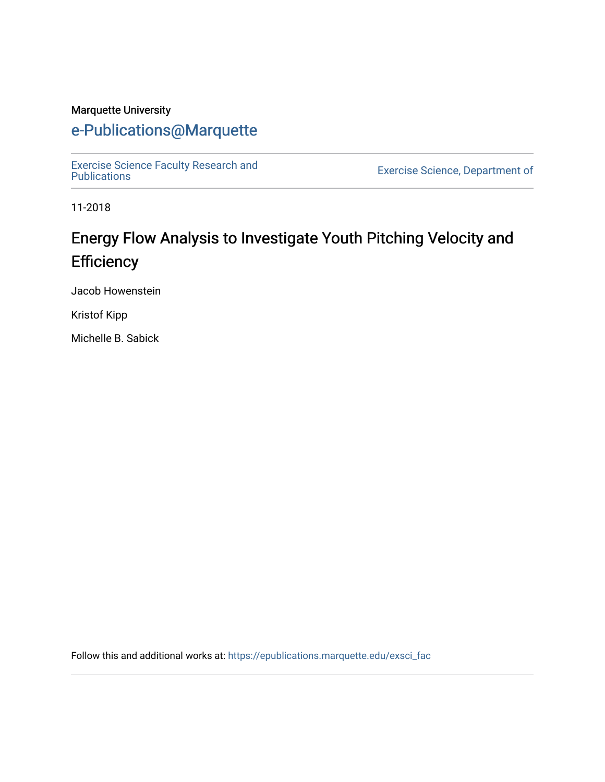#### Marquette University

# [e-Publications@Marquette](https://epublications.marquette.edu/)

[Exercise Science Faculty Research and](https://epublications.marquette.edu/exsci_fac)

Exercise Science, Department of

11-2018

# Energy Flow Analysis to Investigate Youth Pitching Velocity and **Efficiency**

Jacob Howenstein

Kristof Kipp

Michelle B. Sabick

Follow this and additional works at: [https://epublications.marquette.edu/exsci\\_fac](https://epublications.marquette.edu/exsci_fac?utm_source=epublications.marquette.edu%2Fexsci_fac%2F165&utm_medium=PDF&utm_campaign=PDFCoverPages)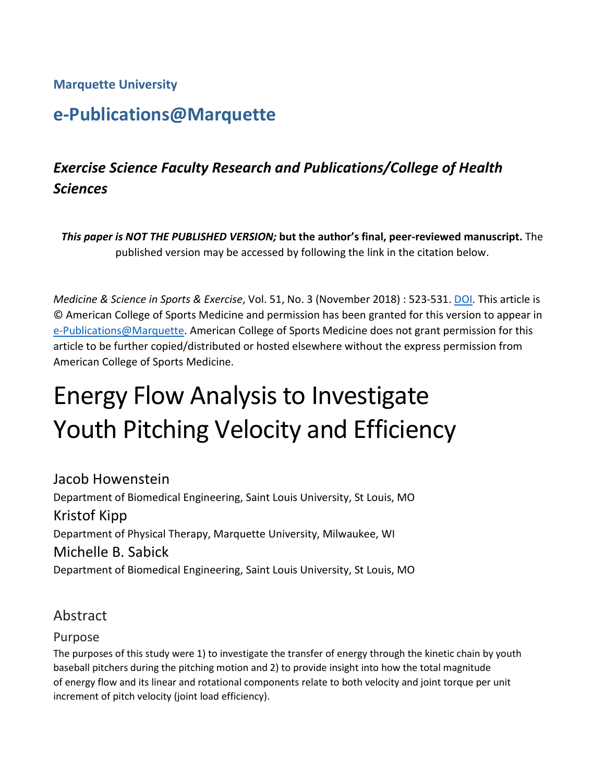**Marquette University**

# **e-Publications@Marquette**

# *Exercise Science Faculty Research and Publications/College of Health Sciences*

*This paper is NOT THE PUBLISHED VERSION;* **but the author's final, peer-reviewed manuscript.** The published version may be accessed by following the link in the citation below.

*Medicine & Science in Sports & Exercise*, Vol. 51, No. 3 (November 2018) : 523-531[. DOI.](https://insights.ovid.com/crossref?an=00005768-201903000-00017) This article is © American College of Sports Medicine and permission has been granted for this version to appear in [e-Publications@Marquette.](http://epublications.marquette.edu/) American College of Sports Medicine does not grant permission for this article to be further copied/distributed or hosted elsewhere without the express permission from American College of Sports Medicine.

# Energy Flow Analysis to Investigate Youth Pitching Velocity and Efficiency

Jacob Howenstein Department of Biomedical Engineering, Saint Louis University, St Louis, MO Kristof Kipp Department of Physical Therapy, Marquette University, Milwaukee, WI Michelle B. Sabick Department of Biomedical Engineering, Saint Louis University, St Louis, MO

# Abstract

#### Purpose

The purposes of this study were 1) to investigate the transfer of energy through the kinetic chain by youth baseball pitchers during the pitching motion and 2) to provide insight into how the total magnitude of energy flow and its linear and rotational components relate to both velocity and joint torque per unit increment of pitch velocity (joint load efficiency).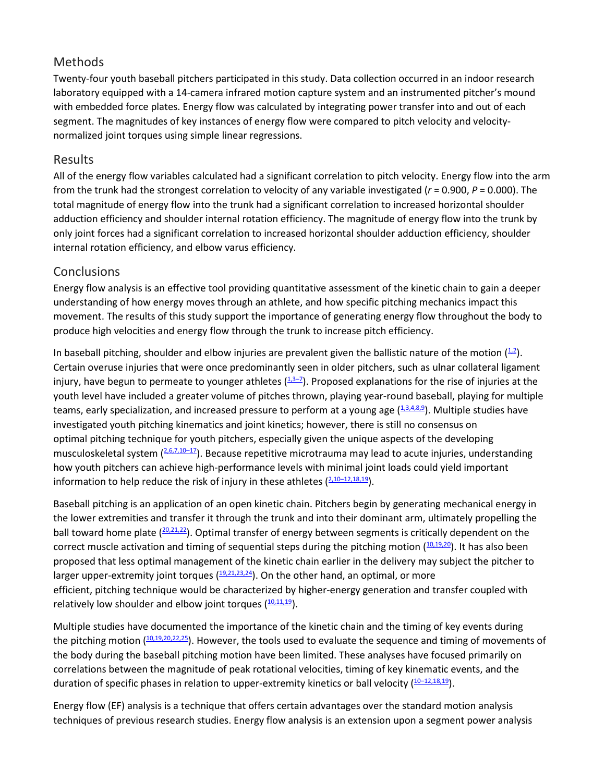#### [Methods](https://journals.lww.com/acsm-msse/fulltext/2019/03000/Energy_Flow_Analysis_to_Investigate_Youth_Pitching.17.aspx#HA1-17)

Twenty-four youth baseball pitchers participated in this study. Data collection occurred in an indoor research laboratory equipped with a 14-camera infrared motion capture system and an instrumented pitcher's mound with embedded force plates. Energy flow was calculated by integrating power transfer into and out of each segment. The magnitudes of key instances of energy flow were compared to pitch velocity and velocitynormalized joint torques using simple linear regressions.

#### [Results](https://journals.lww.com/acsm-msse/fulltext/2019/03000/Energy_Flow_Analysis_to_Investigate_Youth_Pitching.17.aspx#HA2-17)

All of the energy flow variables calculated had a significant correlation to pitch velocity. Energy flow into the arm from the trunk had the strongest correlation to velocity of any variable investigated (*r* = 0.900, *P* = 0.000). The total magnitude of energy flow into the trunk had a significant correlation to increased horizontal shoulder adduction efficiency and shoulder internal rotation efficiency. The magnitude of energy flow into the trunk by only joint forces had a significant correlation to increased horizontal shoulder adduction efficiency, shoulder internal rotation efficiency, and elbow varus efficiency.

#### **[Conclusions](https://journals.lww.com/acsm-msse/fulltext/2019/03000/Energy_Flow_Analysis_to_Investigate_Youth_Pitching.17.aspx#HA3-17)**

Energy flow analysis is an effective tool providing quantitative assessment of the kinetic chain to gain a deeper understanding of how energy moves through an athlete, and how specific pitching mechanics impact this movement. The results of this study support the importance of generating energy flow throughout the body to produce high velocities and energy flow through the trunk to increase pitch efficiency.

In baseball pitching, shoulder and elbow injuries are prevalent given the ballistic nature of the motion  $(1,2)$ . Certain overuse injuries that were once predominantly seen in older pitchers, such as ulnar collateral ligament injury, have begun to permeate to younger athletes ( $1/3-7$ ). Proposed explanations for the rise of injuries at the youth level have included a greater volume of pitches thrown, playing year-round baseball, playing for multiple teams, early specialization, and increased pressure to perform at a young age [\(1,3,4,8,9\)](https://journals.lww.com/acsm-msse/fulltext/2019/03000/Energy_Flow_Analysis_to_Investigate_Youth_Pitching.17.aspx#R1-17). Multiple studies have investigated youth pitching kinematics and joint kinetics; however, there is still no consensus on optimal pitching technique for youth pitchers, especially given the unique aspects of the developing musculoskeletal system  $\left(\frac{2,6,7,10-17}{2}\right)$ . Because repetitive microtrauma may lead to acute injuries, understanding how youth pitchers can achieve high-performance levels with minimal joint loads could yield important information to help reduce the risk of injury in these athletes  $(2.10-12.18,19)$ .

Baseball pitching is an application of an open kinetic chain. Pitchers begin by generating mechanical energy in the lower extremities and transfer it through the trunk and into their dominant arm, ultimately propelling the ball toward home plate  $(20,21,22)$ . Optimal transfer of energy between segments is critically dependent on the correct muscle activation and timing of sequential steps during the pitching motion  $(10,19,20)$ . It has also been proposed that less optimal management of the kinetic chain earlier in the delivery may subject the pitcher to larger upper-extremity joint torques  $(19,21,23,24)$ . On the other hand, an optimal, or more efficient, pitching technique would be characterized by higher-energy generation and transfer coupled with relatively low shoulder and elbow joint torques  $(10,11,19)$ .

Multiple studies have documented the importance of the kinetic chain and the timing of key events during the pitching motion  $(10,19,20,22,25)$ . However, the tools used to evaluate the sequence and timing of movements of the body during the baseball pitching motion have been limited. These analyses have focused primarily on correlations between the magnitude of peak rotational velocities, timing of key kinematic events, and the duration of specific phases in relation to upper-extremity kinetics or ball velocity  $(10-12,18,19)$ .

Energy flow (EF) analysis is a technique that offers certain advantages over the standard motion analysis techniques of previous research studies. Energy flow analysis is an extension upon a segment power analysis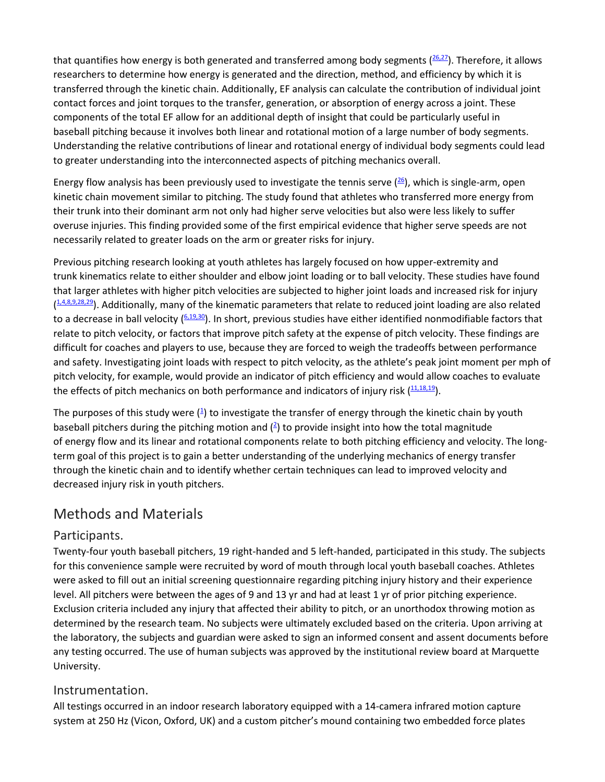that quantifies how energy is both generated and transferred among body segments  $(26.27)$ . Therefore, it allows researchers to determine how energy is generated and the direction, method, and efficiency by which it is transferred through the kinetic chain. Additionally, EF analysis can calculate the contribution of individual joint contact forces and joint torques to the transfer, generation, or absorption of energy across a joint. These components of the total EF allow for an additional depth of insight that could be particularly useful in baseball pitching because it involves both linear and rotational motion of a large number of body segments. Understanding the relative contributions of linear and rotational energy of individual body segments could lead to greater understanding into the interconnected aspects of pitching mechanics overall.

Energy flow analysis has been previously used to investigate the tennis serve  $(26)$ , which is single-arm, open kinetic chain movement similar to pitching. The study found that athletes who transferred more energy from their trunk into their dominant arm not only had higher serve velocities but also were less likely to suffer overuse injuries. This finding provided some of the first empirical evidence that higher serve speeds are not necessarily related to greater loads on the arm or greater risks for injury.

Previous pitching research looking at youth athletes has largely focused on how upper-extremity and trunk kinematics relate to either shoulder and elbow joint loading or to ball velocity. These studies have found that larger athletes with higher pitch velocities are subjected to higher joint loads and increased risk for injury (<sup>1,4,8,9,28,29</sup>). Additionally, many of the kinematic parameters that relate to reduced joint loading are also related to a decrease in ball velocity  $(6,19,30)$ . In short, previous studies have either identified nonmodifiable factors that relate to pitch velocity, or factors that improve pitch safety at the expense of pitch velocity. These findings are difficult for coaches and players to use, because they are forced to weigh the tradeoffs between performance and safety. Investigating joint loads with respect to pitch velocity, as the athlete's peak joint moment per mph of pitch velocity, for example, would provide an indicator of pitch efficiency and would allow coaches to evaluate the effects of pitch mechanics on both performance and indicators of injury risk  $(11,18,19)$ .

The purposes of this study were  $(1)$  $(1)$  to investigate the transfer of energy through the kinetic chain by youth baseball pitchers during the pitching motion and  $(2)$  $(2)$  to provide insight into how the total magnitude of energy flow and its linear and rotational components relate to both pitching efficiency and velocity. The longterm goal of this project is to gain a better understanding of the underlying mechanics of energy transfer through the kinetic chain and to identify whether certain techniques can lead to improved velocity and decreased injury risk in youth pitchers.

## Methods and Materials

#### Participants.

Twenty-four youth baseball pitchers, 19 right-handed and 5 left-handed, participated in this study. The subjects for this convenience sample were recruited by word of mouth through local youth baseball coaches. Athletes were asked to fill out an initial screening questionnaire regarding pitching injury history and their experience level. All pitchers were between the ages of 9 and 13 yr and had at least 1 yr of prior pitching experience. Exclusion criteria included any injury that affected their ability to pitch, or an unorthodox throwing motion as determined by the research team. No subjects were ultimately excluded based on the criteria. Upon arriving at the laboratory, the subjects and guardian were asked to sign an informed consent and assent documents before any testing occurred. The use of human subjects was approved by the institutional review board at Marquette University.

#### Instrumentation.

All testings occurred in an indoor research laboratory equipped with a 14-camera infrared motion capture system at 250 Hz (Vicon, Oxford, UK) and a custom pitcher's mound containing two embedded force plates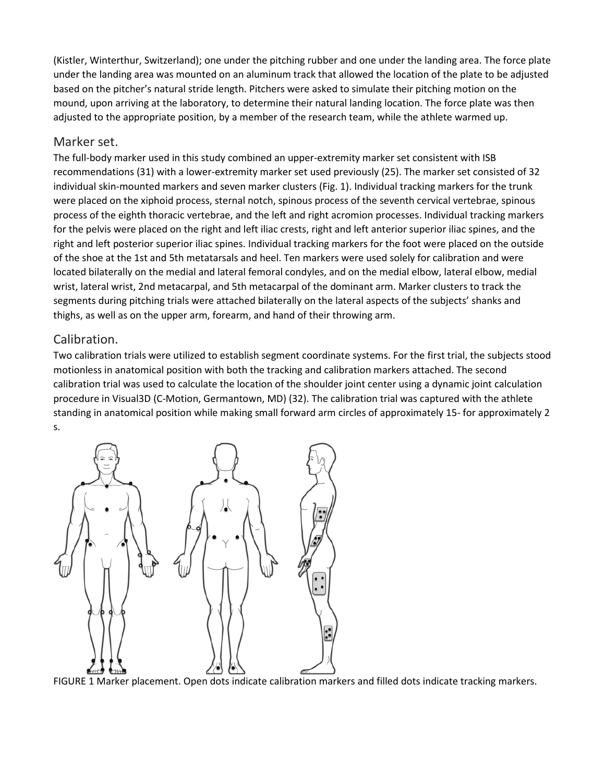(Kistler, Winterthur, Switzerland); one under the pitching rubber and one under the landing area. The force plate under the landing area was mounted on an aluminum track that allowed the location of the plate to be adjusted based on the pitcher's natural stride length. Pitchers were asked to simulate their pitching motion on the mound, upon arriving at the laboratory, to determine their natural landing location. The force plate was then adjusted to the appropriate position, by a member of the research team, while the athlete warmed up.

#### Marker set.

The full-body marker used in this study combined an upper-extremity marker set consistent with ISB recommendations (31) with a lower-extremity marker set used previously (25). The marker set consisted of 32 individual skin-mounted markers and seven marker clusters (Fig. 1). Individual tracking markers for the trunk were placed on the xiphoid process, sternal notch, spinous process of the seventh cervical vertebrae, spinous process of the eighth thoracic vertebrae, and the left and right acromion processes. Individual tracking markers for the pelvis were placed on the right and left iliac crests, right and left anterior superior iliac spines, and the right and left posterior superior iliac spines. Individual tracking markers for the foot were placed on the outside of the shoe at the 1st and 5th metatarsals and heel. Ten markers were used solely for calibration and were located bilaterally on the medial and lateral femoral condyles, and on the medial elbow, lateral elbow, medial wrist, lateral wrist, 2nd metacarpal, and 5th metacarpal of the dominant arm. Marker clusters to track the segments during pitching trials were attached bilaterally on the lateral aspects of the subjects' shanks and thighs, as well as on the upper arm, forearm, and hand of their throwing arm.

#### Calibration.

Two calibration trials were utilized to establish segment coordinate systems. For the first trial, the subjects stood motionless in anatomical position with both the tracking and calibration markers attached. The second calibration trial was used to calculate the location of the shoulder joint center using a dynamic joint calculation procedure in Visual3D (C-Motion, Germantown, MD) (32). The calibration trial was captured with the athlete standing in anatomical position while making small forward arm circles of approximately 15- for approximately 2 s.



FIGURE 1 Marker placement. Open dots indicate calibration markers and filled dots indicate tracking markers.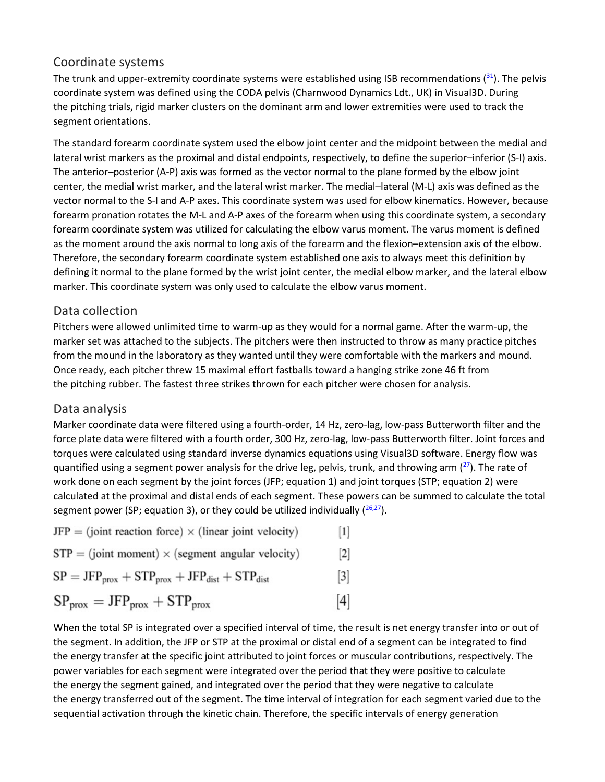#### Coordinate systems

The trunk and upper-extremity coordinate systems were established using ISB recommendations  $(31)$ . The pelvis coordinate system was defined using the CODA pelvis (Charnwood Dynamics Ldt., UK) in Visual3D. During the pitching trials, rigid marker clusters on the dominant arm and lower extremities were used to track the segment orientations.

The standard forearm coordinate system used the elbow joint center and the midpoint between the medial and lateral wrist markers as the proximal and distal endpoints, respectively, to define the superior–inferior (S-I) axis. The anterior–posterior (A-P) axis was formed as the vector normal to the plane formed by the elbow joint center, the medial wrist marker, and the lateral wrist marker. The medial–lateral (M-L) axis was defined as the vector normal to the S-I and A-P axes. This coordinate system was used for elbow kinematics. However, because forearm pronation rotates the M-L and A-P axes of the forearm when using this coordinate system, a secondary forearm coordinate system was utilized for calculating the elbow varus moment. The varus moment is defined as the moment around the axis normal to long axis of the forearm and the flexion–extension axis of the elbow. Therefore, the secondary forearm coordinate system established one axis to always meet this definition by defining it normal to the plane formed by the wrist joint center, the medial elbow marker, and the lateral elbow marker. This coordinate system was only used to calculate the elbow varus moment.

#### Data collection

Pitchers were allowed unlimited time to warm-up as they would for a normal game. After the warm-up, the marker set was attached to the subjects. The pitchers were then instructed to throw as many practice pitches from the mound in the laboratory as they wanted until they were comfortable with the markers and mound. Once ready, each pitcher threw 15 maximal effort fastballs toward a hanging strike zone 46 ft from the pitching rubber. The fastest three strikes thrown for each pitcher were chosen for analysis.

#### Data analysis

Marker coordinate data were filtered using a fourth-order, 14 Hz, zero-lag, low-pass Butterworth filter and the force plate data were filtered with a fourth order, 300 Hz, zero-lag, low-pass Butterworth filter. Joint forces and torques were calculated using standard inverse dynamics equations using Visual3D software. Energy flow was quantified using a segment power analysis for the drive leg, pelvis, trunk, and throwing arm  $(2^2)$ . The rate of work done on each segment by the joint forces (JFP; equation 1) and joint torques (STP; equation 2) were calculated at the proximal and distal ends of each segment. These powers can be summed to calculate the total segment power (SP; equation 3), or they could be utilized individually  $(26.27)$ .

| $JFP = (joint reaction force) \times (linear joint velocity)$ | $[1]$             |
|---------------------------------------------------------------|-------------------|
| $STP = (joint moment) \times (segment angular velocity)$      | $\left[ 2\right]$ |
| $SP = JFP_{prox} + STP_{prox} + JFP_{dist} + STP_{dist}$      | $\left 3\right $  |
| $SP_{prox} = JFP_{prox} + STP_{prox}$                         | [4]               |

When the total SP is integrated over a specified interval of time, the result is net energy transfer into or out of the segment. In addition, the JFP or STP at the proximal or distal end of a segment can be integrated to find the energy transfer at the specific joint attributed to joint forces or muscular contributions, respectively. The power variables for each segment were integrated over the period that they were positive to calculate the energy the segment gained, and integrated over the period that they were negative to calculate the energy transferred out of the segment. The time interval of integration for each segment varied due to the sequential activation through the kinetic chain. Therefore, the specific intervals of energy generation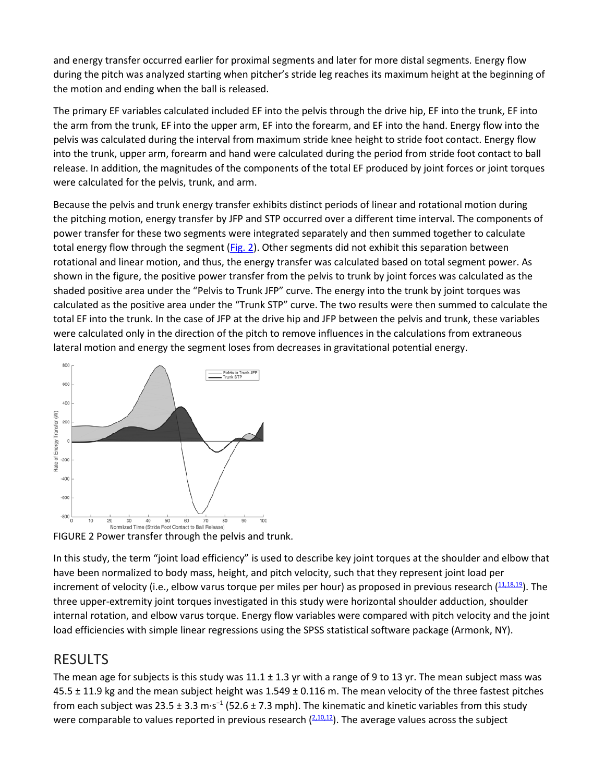and energy transfer occurred earlier for proximal segments and later for more distal segments. Energy flow during the pitch was analyzed starting when pitcher's stride leg reaches its maximum height at the beginning of the motion and ending when the ball is released.

The primary EF variables calculated included EF into the pelvis through the drive hip, EF into the trunk, EF into the arm from the trunk, EF into the upper arm, EF into the forearm, and EF into the hand. Energy flow into the pelvis was calculated during the interval from maximum stride knee height to stride foot contact. Energy flow into the trunk, upper arm, forearm and hand were calculated during the period from stride foot contact to ball release. In addition, the magnitudes of the components of the total EF produced by joint forces or joint torques were calculated for the pelvis, trunk, and arm.

Because the pelvis and trunk energy transfer exhibits distinct periods of linear and rotational motion during the pitching motion, energy transfer by JFP and STP occurred over a different time interval. The components of power transfer for these two segments were integrated separately and then summed together to calculate total energy flow through the segment  $(Fig. 2)$ . Other segments did not exhibit this separation between rotational and linear motion, and thus, the energy transfer was calculated based on total segment power. As shown in the figure, the positive power transfer from the pelvis to trunk by joint forces was calculated as the shaded positive area under the "Pelvis to Trunk JFP" curve. The energy into the trunk by joint torques was calculated as the positive area under the "Trunk STP" curve. The two results were then summed to calculate the total EF into the trunk. In the case of JFP at the drive hip and JFP between the pelvis and trunk, these variables were calculated only in the direction of the pitch to remove influences in the calculations from extraneous lateral motion and energy the segment loses from decreases in gravitational potential energy.



FIGURE 2 Power transfer through the pelvis and trunk.

In this study, the term "joint load efficiency" is used to describe key joint torques at the shoulder and elbow that have been normalized to body mass, height, and pitch velocity, such that they represent joint load per increment of velocity (i.e., elbow varus torque per miles per hour) as proposed in previous research  $(11,18,19)$ . The three upper-extremity joint torques investigated in this study were horizontal shoulder adduction, shoulder internal rotation, and elbow varus torque. Energy flow variables were compared with pitch velocity and the joint load efficiencies with simple linear regressions using the SPSS statistical software package (Armonk, NY).

## RESULTS

The mean age for subjects is this study was  $11.1 \pm 1.3$  yr with a range of 9 to 13 yr. The mean subject mass was 45.5 ± 11.9 kg and the mean subject height was 1.549 ± 0.116 m. The mean velocity of the three fastest pitches from each subject was  $23.5 \pm 3.3$  m·s<sup>-1</sup> (52.6 ± 7.3 mph). The kinematic and kinetic variables from this study were comparable to values reported in previous research  $(2,10,12)$ . The average values across the subject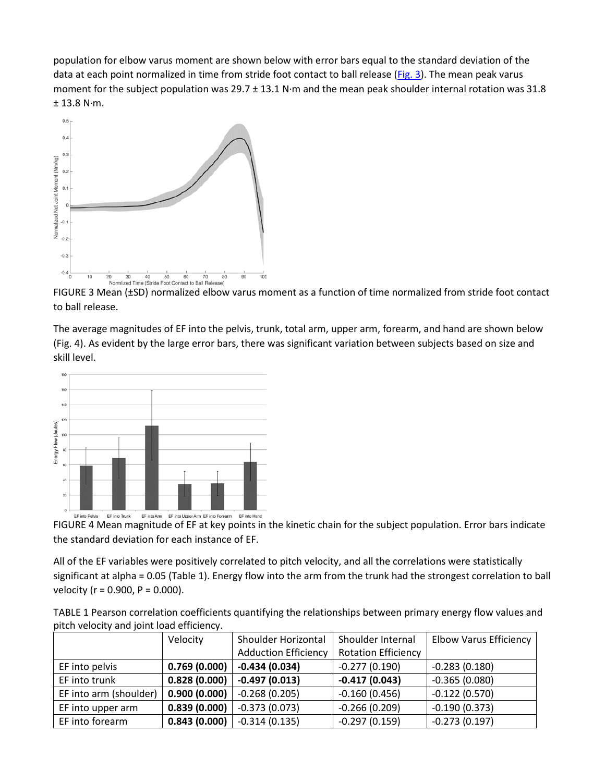population for elbow varus moment are shown below with error bars equal to the standard deviation of the data at each point normalized in time from stride foot contact to ball release [\(Fig. 3\)](javascript:void(0)). The mean peak varus moment for the subject population was 29.7 ± 13.1 N·m and the mean peak shoulder internal rotation was 31.8 ± 13.8 N·m.



FIGURE 3 Mean (±SD) normalized elbow varus moment as a function of time normalized from stride foot contact to ball release.

The average magnitudes of EF into the pelvis, trunk, total arm, upper arm, forearm, and hand are shown below (Fig. 4). As evident by the large error bars, there was significant variation between subjects based on size and skill level.



FIGURE 4 Mean magnitude of EF at key points in the kinetic chain for the subject population. Error bars indicate the standard deviation for each instance of EF.

All of the EF variables were positively correlated to pitch velocity, and all the correlations were statistically significant at alpha = 0.05 (Table 1). Energy flow into the arm from the trunk had the strongest correlation to ball velocity ( $r = 0.900$ ,  $P = 0.000$ ).

TABLE 1 Pearson correlation coefficients quantifying the relationships between primary energy flow values and pitch velocity and joint load efficiency.

|                        | Velocity     | Shoulder Horizontal         | Shoulder Internal          | <b>Elbow Varus Efficiency</b> |
|------------------------|--------------|-----------------------------|----------------------------|-------------------------------|
|                        |              | <b>Adduction Efficiency</b> | <b>Rotation Efficiency</b> |                               |
| EF into pelvis         | 0.769(0.000) | $-0.434(0.034)$             | $-0.277(0.190)$            | $-0.283(0.180)$               |
| EF into trunk          | 0.828(0.000) | $-0.497(0.013)$             | $-0.417(0.043)$            | $-0.365(0.080)$               |
| EF into arm (shoulder) | 0.900(0.000) | $-0.268(0.205)$             | $-0.160(0.456)$            | $-0.122(0.570)$               |
| EF into upper arm      | 0.839(0.000) | $-0.373(0.073)$             | $-0.266(0.209)$            | $-0.190(0.373)$               |
| EF into forearm        | 0.843(0.000) | $-0.314(0.135)$             | $-0.297(0.159)$            | $-0.273(0.197)$               |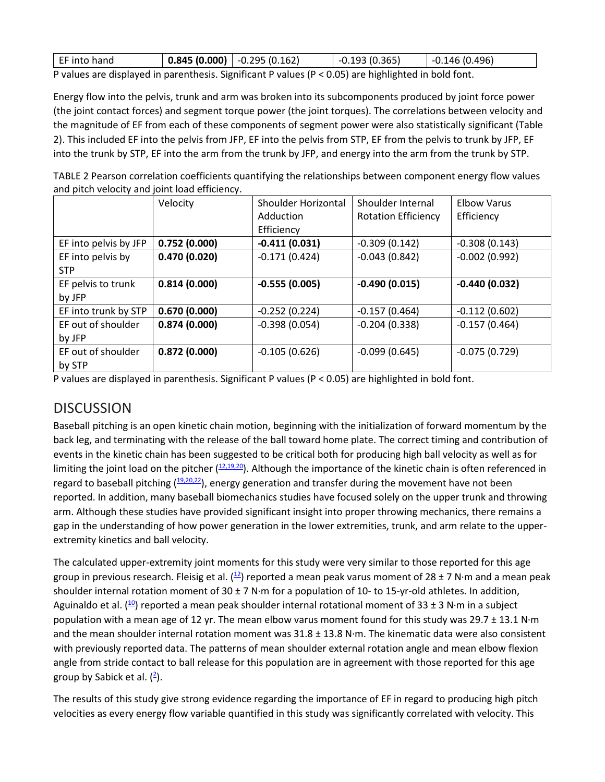| l EF into hand                                                                                           |  | $\mid$ 0.845 (0.000) $\mid$ -0.295 (0.162) | $\mid$ -0.193 (0.365) | $\vert$ -0.146 (0.496) |  |  |
|----------------------------------------------------------------------------------------------------------|--|--------------------------------------------|-----------------------|------------------------|--|--|
| P values are displayed in parenthesis. Significant P values ( $P < 0.05$ ) are highlighted in bold font. |  |                                            |                       |                        |  |  |

Energy flow into the pelvis, trunk and arm was broken into its subcomponents produced by joint force power (the joint contact forces) and segment torque power (the joint torques). The correlations between velocity and the magnitude of EF from each of these components of segment power were also statistically significant (Table 2). This included EF into the pelvis from JFP, EF into the pelvis from STP, EF from the pelvis to trunk by JFP, EF into the trunk by STP, EF into the arm from the trunk by JFP, and energy into the arm from the trunk by STP.

TABLE 2 Pearson correlation coefficients quantifying the relationships between component energy flow values and pitch velocity and joint load efficiency.

|                       | Velocity     | Shoulder Horizontal | Shoulder Internal          | <b>Elbow Varus</b> |
|-----------------------|--------------|---------------------|----------------------------|--------------------|
|                       |              | Adduction           | <b>Rotation Efficiency</b> | Efficiency         |
|                       |              | Efficiency          |                            |                    |
| EF into pelvis by JFP | 0.752(0.000) | $-0.411(0.031)$     | $-0.309(0.142)$            | $-0.308(0.143)$    |
| EF into pelvis by     | 0.470(0.020) | $-0.171(0.424)$     | $-0.043(0.842)$            | $-0.002(0.992)$    |
| <b>STP</b>            |              |                     |                            |                    |
| EF pelvis to trunk    | 0.814(0.000) | $-0.555(0.005)$     | $-0.490(0.015)$            | $-0.440(0.032)$    |
| by JFP                |              |                     |                            |                    |
| EF into trunk by STP  | 0.670(0.000) | $-0.252(0.224)$     | $-0.157(0.464)$            | $-0.112(0.602)$    |
| EF out of shoulder    | 0.874(0.000) | $-0.398(0.054)$     | $-0.204(0.338)$            | $-0.157(0.464)$    |
| by JFP                |              |                     |                            |                    |
| EF out of shoulder    | 0.872(0.000) | $-0.105(0.626)$     | $-0.099(0.645)$            | $-0.075(0.729)$    |
| by STP                |              |                     |                            |                    |

P values are displayed in parenthesis. Significant P values (P < 0.05) are highlighted in bold font.

# **DISCUSSION**

Baseball pitching is an open kinetic chain motion, beginning with the initialization of forward momentum by the back leg, and terminating with the release of the ball toward home plate. The correct timing and contribution of events in the kinetic chain has been suggested to be critical both for producing high ball velocity as well as for limiting the joint load on the pitcher  $(12,19,20)$ . Although the importance of the kinetic chain is often referenced in regard to baseball pitching ( $\frac{19,20,22}{2}$ ), energy generation and transfer during the movement have not been reported. In addition, many baseball biomechanics studies have focused solely on the upper trunk and throwing arm. Although these studies have provided significant insight into proper throwing mechanics, there remains a gap in the understanding of how power generation in the lower extremities, trunk, and arm relate to the upperextremity kinetics and ball velocity.

The calculated upper-extremity joint moments for this study were very similar to those reported for this age group in previous research. Fleisig et al.  $(12)$  reported a mean peak varus moment of 28 ± 7 N·m and a mean peak shoulder internal rotation moment of 30  $\pm$  7 N·m for a population of 10- to 15-yr-old athletes. In addition, Aguinaldo et al. ( $^{10}$ ) reported a mean peak shoulder internal rotational moment of 33 ± 3 N·m in a subject population with a mean age of 12 yr. The mean elbow varus moment found for this study was 29.7  $\pm$  13.1 N·m and the mean shoulder internal rotation moment was 31.8 ± 13.8 N·m. The kinematic data were also consistent with previously reported data. The patterns of mean shoulder external rotation angle and mean elbow flexion angle from stride contact to ball release for this population are in agreement with those reported for this age group by Sabick et al. (<sup>2</sup>).

The results of this study give strong evidence regarding the importance of EF in regard to producing high pitch velocities as every energy flow variable quantified in this study was significantly correlated with velocity. This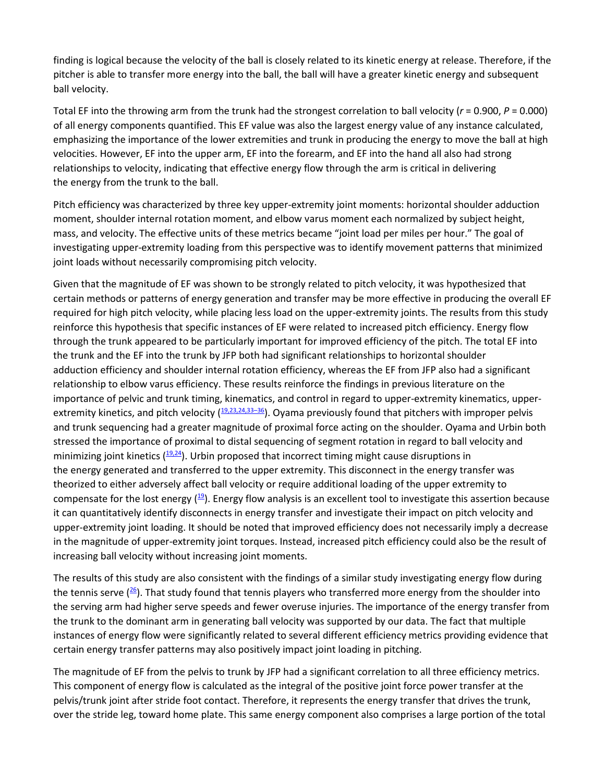finding is logical because the velocity of the ball is closely related to its kinetic energy at release. Therefore, if the pitcher is able to transfer more energy into the ball, the ball will have a greater kinetic energy and subsequent ball velocity.

Total EF into the throwing arm from the trunk had the strongest correlation to ball velocity (*r* = 0.900, *P* = 0.000) of all energy components quantified. This EF value was also the largest energy value of any instance calculated, emphasizing the importance of the lower extremities and trunk in producing the energy to move the ball at high velocities. However, EF into the upper arm, EF into the forearm, and EF into the hand all also had strong relationships to velocity, indicating that effective energy flow through the arm is critical in delivering the energy from the trunk to the ball.

Pitch efficiency was characterized by three key upper-extremity joint moments: horizontal shoulder adduction moment, shoulder internal rotation moment, and elbow varus moment each normalized by subject height, mass, and velocity. The effective units of these metrics became "joint load per miles per hour." The goal of investigating upper-extremity loading from this perspective was to identify movement patterns that minimized joint loads without necessarily compromising pitch velocity.

Given that the magnitude of EF was shown to be strongly related to pitch velocity, it was hypothesized that certain methods or patterns of energy generation and transfer may be more effective in producing the overall EF required for high pitch velocity, while placing less load on the upper-extremity joints. The results from this study reinforce this hypothesis that specific instances of EF were related to increased pitch efficiency. Energy flow through the trunk appeared to be particularly important for improved efficiency of the pitch. The total EF into the trunk and the EF into the trunk by JFP both had significant relationships to horizontal shoulder adduction efficiency and shoulder internal rotation efficiency, whereas the EF from JFP also had a significant relationship to elbow varus efficiency. These results reinforce the findings in previous literature on the importance of pelvic and trunk timing, kinematics, and control in regard to upper-extremity kinematics, upperextremity kinetics, and pitch velocity  $(19,23,24,33-36)$ . Oyama previously found that pitchers with improper pelvis and trunk sequencing had a greater magnitude of proximal force acting on the shoulder. Oyama and Urbin both stressed the importance of proximal to distal sequencing of segment rotation in regard to ball velocity and minimizing joint kinetics ( $\frac{19,24}{2}$ ). Urbin proposed that incorrect timing might cause disruptions in the energy generated and transferred to the upper extremity. This disconnect in the energy transfer was theorized to either adversely affect ball velocity or require additional loading of the upper extremity to compensate for the lost energy (<sup>19</sup>). Energy flow analysis is an excellent tool to investigate this assertion because it can quantitatively identify disconnects in energy transfer and investigate their impact on pitch velocity and upper-extremity joint loading. It should be noted that improved efficiency does not necessarily imply a decrease in the magnitude of upper-extremity joint torques. Instead, increased pitch efficiency could also be the result of increasing ball velocity without increasing joint moments.

The results of this study are also consistent with the findings of a similar study investigating energy flow during the tennis serve  $(26)$ . That study found that tennis players who transferred more energy from the shoulder into the serving arm had higher serve speeds and fewer overuse injuries. The importance of the energy transfer from the trunk to the dominant arm in generating ball velocity was supported by our data. The fact that multiple instances of energy flow were significantly related to several different efficiency metrics providing evidence that certain energy transfer patterns may also positively impact joint loading in pitching.

The magnitude of EF from the pelvis to trunk by JFP had a significant correlation to all three efficiency metrics. This component of energy flow is calculated as the integral of the positive joint force power transfer at the pelvis/trunk joint after stride foot contact. Therefore, it represents the energy transfer that drives the trunk, over the stride leg, toward home plate. This same energy component also comprises a large portion of the total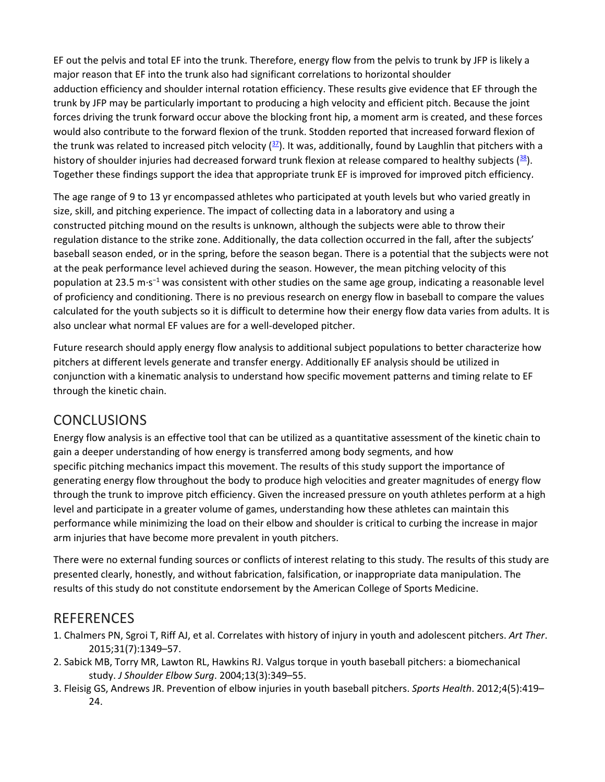EF out the pelvis and total EF into the trunk. Therefore, energy flow from the pelvis to trunk by JFP is likely a major reason that EF into the trunk also had significant correlations to horizontal shoulder adduction efficiency and shoulder internal rotation efficiency. These results give evidence that EF through the trunk by JFP may be particularly important to producing a high velocity and efficient pitch. Because the joint forces driving the trunk forward occur above the blocking front hip, a moment arm is created, and these forces would also contribute to the forward flexion of the trunk. Stodden reported that increased forward flexion of the trunk was related to increased pitch velocity  $(37)$ . It was, additionally, found by Laughlin that pitchers with a history of shoulder injuries had decreased forward trunk flexion at release compared to healthy subjects  $(38)$ . Together these findings support the idea that appropriate trunk EF is improved for improved pitch efficiency.

The age range of 9 to 13 yr encompassed athletes who participated at youth levels but who varied greatly in size, skill, and pitching experience. The impact of collecting data in a laboratory and using a constructed pitching mound on the results is unknown, although the subjects were able to throw their regulation distance to the strike zone. Additionally, the data collection occurred in the fall, after the subjects' baseball season ended, or in the spring, before the season began. There is a potential that the subjects were not at the peak performance level achieved during the season. However, the mean pitching velocity of this population at 23.5 m·s<sup>-1</sup> was consistent with other studies on the same age group, indicating a reasonable level of proficiency and conditioning. There is no previous research on energy flow in baseball to compare the values calculated for the youth subjects so it is difficult to determine how their energy flow data varies from adults. It is also unclear what normal EF values are for a well-developed pitcher.

Future research should apply energy flow analysis to additional subject populations to better characterize how pitchers at different levels generate and transfer energy. Additionally EF analysis should be utilized in conjunction with a kinematic analysis to understand how specific movement patterns and timing relate to EF through the kinetic chain.

## **CONCLUSIONS**

Energy flow analysis is an effective tool that can be utilized as a quantitative assessment of the kinetic chain to gain a deeper understanding of how energy is transferred among body segments, and how specific pitching mechanics impact this movement. The results of this study support the importance of generating energy flow throughout the body to produce high velocities and greater magnitudes of energy flow through the trunk to improve pitch efficiency. Given the increased pressure on youth athletes perform at a high level and participate in a greater volume of games, understanding how these athletes can maintain this performance while minimizing the load on their elbow and shoulder is critical to curbing the increase in major arm injuries that have become more prevalent in youth pitchers.

There were no external funding sources or conflicts of interest relating to this study. The results of this study are presented clearly, honestly, and without fabrication, falsification, or inappropriate data manipulation. The results of this study do not constitute endorsement by the American College of Sports Medicine.

## **REFERENCES**

- 1. Chalmers PN, Sgroi T, Riff AJ, et al. Correlates with history of injury in youth and adolescent pitchers. *Art Ther*. 2015;31(7):1349–57.
- 2. Sabick MB, Torry MR, Lawton RL, Hawkins RJ. Valgus torque in youth baseball pitchers: a biomechanical study. *J Shoulder Elbow Surg*. 2004;13(3):349–55.
- 3. Fleisig GS, Andrews JR. Prevention of elbow injuries in youth baseball pitchers. *Sports Health*. 2012;4(5):419– 24.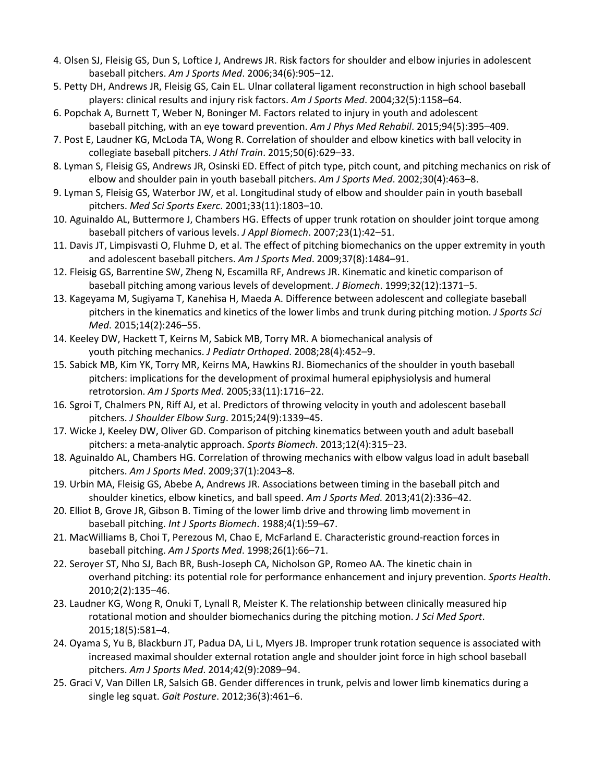- 4. Olsen SJ, Fleisig GS, Dun S, Loftice J, Andrews JR. Risk factors for shoulder and elbow injuries in adolescent baseball pitchers. *Am J Sports Med*. 2006;34(6):905–12.
- 5. Petty DH, Andrews JR, Fleisig GS, Cain EL. Ulnar collateral ligament reconstruction in high school baseball players: clinical results and injury risk factors. *Am J Sports Med*. 2004;32(5):1158–64.
- 6. Popchak A, Burnett T, Weber N, Boninger M. Factors related to injury in youth and adolescent baseball pitching, with an eye toward prevention. *Am J Phys Med Rehabil*. 2015;94(5):395–409.
- 7. Post E, Laudner KG, McLoda TA, Wong R. Correlation of shoulder and elbow kinetics with ball velocity in collegiate baseball pitchers. *J Athl Train*. 2015;50(6):629–33.
- 8. Lyman S, Fleisig GS, Andrews JR, Osinski ED. Effect of pitch type, pitch count, and pitching mechanics on risk of elbow and shoulder pain in youth baseball pitchers. *Am J Sports Med*. 2002;30(4):463–8.
- 9. Lyman S, Fleisig GS, Waterbor JW, et al. Longitudinal study of elbow and shoulder pain in youth baseball pitchers. *Med Sci Sports Exerc*. 2001;33(11):1803–10.
- 10. Aguinaldo AL, Buttermore J, Chambers HG. Effects of upper trunk rotation on shoulder joint torque among baseball pitchers of various levels. *J Appl Biomech*. 2007;23(1):42–51.
- 11. Davis JT, Limpisvasti O, Fluhme D, et al. The effect of pitching biomechanics on the upper extremity in youth and adolescent baseball pitchers. *Am J Sports Med*. 2009;37(8):1484–91.
- 12. Fleisig GS, Barrentine SW, Zheng N, Escamilla RF, Andrews JR. Kinematic and kinetic comparison of baseball pitching among various levels of development. *J Biomech*. 1999;32(12):1371–5.
- 13. Kageyama M, Sugiyama T, Kanehisa H, Maeda A. Difference between adolescent and collegiate baseball pitchers in the kinematics and kinetics of the lower limbs and trunk during pitching motion. *J Sports Sci Med*. 2015;14(2):246–55.
- 14. Keeley DW, Hackett T, Keirns M, Sabick MB, Torry MR. A biomechanical analysis of youth pitching mechanics. *J Pediatr Orthoped*. 2008;28(4):452–9.
- 15. Sabick MB, Kim YK, Torry MR, Keirns MA, Hawkins RJ. Biomechanics of the shoulder in youth baseball pitchers: implications for the development of proximal humeral epiphysiolysis and humeral retrotorsion. *Am J Sports Med*. 2005;33(11):1716–22.
- 16. Sgroi T, Chalmers PN, Riff AJ, et al. Predictors of throwing velocity in youth and adolescent baseball pitchers. *J Shoulder Elbow Surg*. 2015;24(9):1339–45.
- 17. Wicke J, Keeley DW, Oliver GD. Comparison of pitching kinematics between youth and adult baseball pitchers: a meta-analytic approach. *Sports Biomech*. 2013;12(4):315–23.
- 18. Aguinaldo AL, Chambers HG. Correlation of throwing mechanics with elbow valgus load in adult baseball pitchers. *Am J Sports Med*. 2009;37(1):2043–8.
- 19. Urbin MA, Fleisig GS, Abebe A, Andrews JR. Associations between timing in the baseball pitch and shoulder kinetics, elbow kinetics, and ball speed. *Am J Sports Med*. 2013;41(2):336–42.
- 20. Elliot B, Grove JR, Gibson B. Timing of the lower limb drive and throwing limb movement in baseball pitching. *Int J Sports Biomech*. 1988;4(1):59–67.
- 21. MacWilliams B, Choi T, Perezous M, Chao E, McFarland E. Characteristic ground-reaction forces in baseball pitching. *Am J Sports Med*. 1998;26(1):66–71.
- 22. Seroyer ST, Nho SJ, Bach BR, Bush-Joseph CA, Nicholson GP, Romeo AA. The kinetic chain in overhand pitching: its potential role for performance enhancement and injury prevention. *Sports Health*. 2010;2(2):135–46.
- 23. Laudner KG, Wong R, Onuki T, Lynall R, Meister K. The relationship between clinically measured hip rotational motion and shoulder biomechanics during the pitching motion. *J Sci Med Sport*. 2015;18(5):581–4.
- 24. Oyama S, Yu B, Blackburn JT, Padua DA, Li L, Myers JB. Improper trunk rotation sequence is associated with increased maximal shoulder external rotation angle and shoulder joint force in high school baseball pitchers. *Am J Sports Med*. 2014;42(9):2089–94.
- 25. Graci V, Van Dillen LR, Salsich GB. Gender differences in trunk, pelvis and lower limb kinematics during a single leg squat. *Gait Posture*. 2012;36(3):461–6.